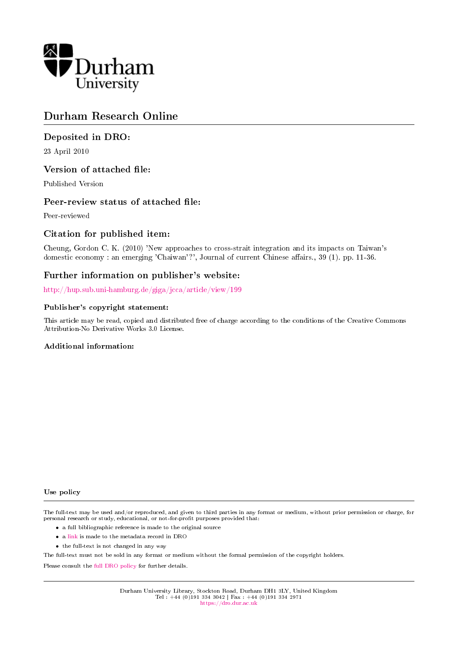

# Durham Research Online

## Deposited in DRO:

23 April 2010

#### Version of attached file:

Published Version

#### Peer-review status of attached file:

Peer-reviewed

## Citation for published item:

Cheung, Gordon C. K. (2010) 'New approaches to cross-strait integration and its impacts on Taiwan's domestic economy : an emerging 'Chaiwan'?', Journal of current Chinese affairs., 39 (1). pp. 11-36.

## Further information on publisher's website:

<http://hup.sub.uni-hamburg.de/giga/jcca/article/view/199>

#### Publisher's copyright statement:

This article may be read, copied and distributed free of charge according to the conditions of the Creative Commons Attribution-No Derivative Works 3.0 License.

#### Additional information:

#### Use policy

The full-text may be used and/or reproduced, and given to third parties in any format or medium, without prior permission or charge, for personal research or study, educational, or not-for-profit purposes provided that:

- a full bibliographic reference is made to the original source
- a [link](http://dro.dur.ac.uk/6730/) is made to the metadata record in DRO
- the full-text is not changed in any way

The full-text must not be sold in any format or medium without the formal permission of the copyright holders.

Please consult the [full DRO policy](https://dro.dur.ac.uk/policies/usepolicy.pdf) for further details.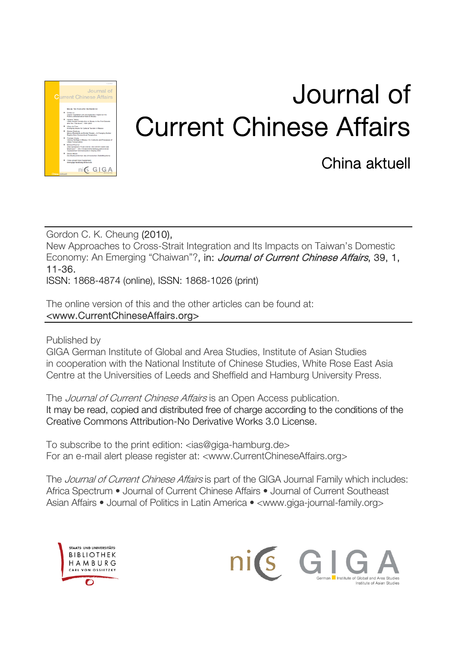

# Journal of Current Chinese Affairs

China aktuell

Gordon C. K. Cheung (2010),

New Approaches to Cross-Strait Integration and Its Impacts on Taiwan's Domestic Economy: An Emerging "Chaiwan"?, in: Journal of Current Chinese Affairs, 39, 1, 11-36.

ISSN: 1868-4874 (online), ISSN: 1868-1026 (print)

The online version of this and the other articles can be found at:

#### <www.CurrentChineseAffairs.org>

Published by

GIGA German Institute of Global and Area Studies, Institute of Asian Studies in cooperation with the National Institute of Chinese Studies, White Rose East Asia Centre at the Universities of Leeds and Sheffield and Hamburg University Press.

The *Journal of Current Chinese Affairs* is an Open Access publication. It may be read, copied and distributed free of charge according to the conditions of the Creative Commons Attribution-No Derivative Works 3.0 License.

To subscribe to the print edition: <ias@giga-hamburg.de> For an e-mail alert please register at: <www.CurrentChineseAffairs.org>

The *Journal of Current Chinese Affairs* is part of the GIGA Journal Family which includes: Africa Spectrum • Journal of Current Chinese Affairs • Journal of Current Southeast Asian Affairs • Journal of Politics in Latin America • <www.giga-journal-family.org>



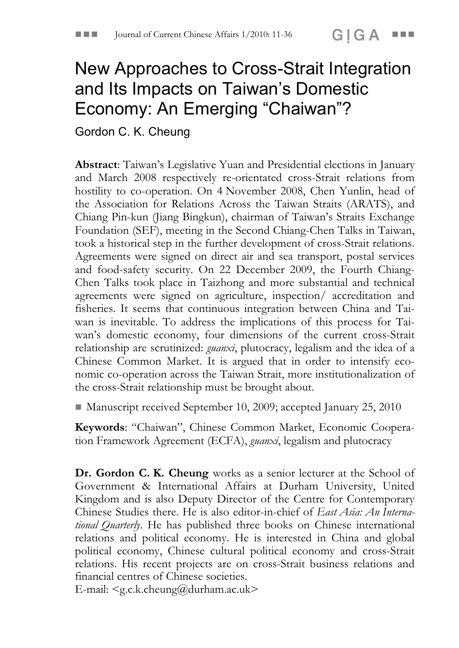# New Approaches to Cross-Strait Integration and Its Impacts on Taiwan's Domestic Economy: An Emerging "Chaiwan"?

Gordon C. K. Cheung

**Abstract**: Taiwan's Legislative Yuan and Presidential elections in January and March 2008 respectively re-orientated cross-Strait relations from hostility to co-operation. On 4 November 2008, Chen Yunlin, head of the Association for Relations Across the Taiwan Straits (ARATS), and Chiang Pin-kun (Jiang Bingkun), chairman of Taiwan's Straits Exchange Foundation (SEF), meeting in the Second Chiang-Chen Talks in Taiwan, took a historical step in the further development of cross-Strait relations. Agreements were signed on direct air and sea transport, postal services and food-safety security. On 22 December 2009, the Fourth Chiang-Chen Talks took place in Taizhong and more substantial and technical agreements were signed on agriculture, inspection/ accreditation and fisheries. It seems that continuous integration between China and Taiwan is inevitable. To address the implications of this process for Taiwan's domestic economy, four dimensions of the current cross-Strait relationship are scrutinized: *guanxi*, plutocracy, legalism and the idea of a Chinese Common Market. It is argued that in order to intensify economic co-operation across the Taiwan Strait, more institutionalization of the cross-Strait relationship must be brought about.

■ Manuscript received September 10, 2009; accepted January 25, 2010

**Keywords**: "Chaiwan", Chinese Common Market, Economic Cooperation Framework Agreement (ECFA), *guanxi*, legalism and plutocracy

**Dr. Gordon C. K. Cheung** works as a senior lecturer at the School of Government & International Affairs at Durham University, United Kingdom and is also Deputy Director of the Centre for Contemporary Chinese Studies there. He is also editor-in-chief of *East Asia: An International Quarterly*. He has published three books on Chinese international relations and political economy. He is interested in China and global political economy, Chinese cultural political economy and cross-Strait relations. His recent projects are on cross-Strait business relations and financial centres of Chinese societies.

E-mail: <g.c.k.cheung@durham.ac.uk>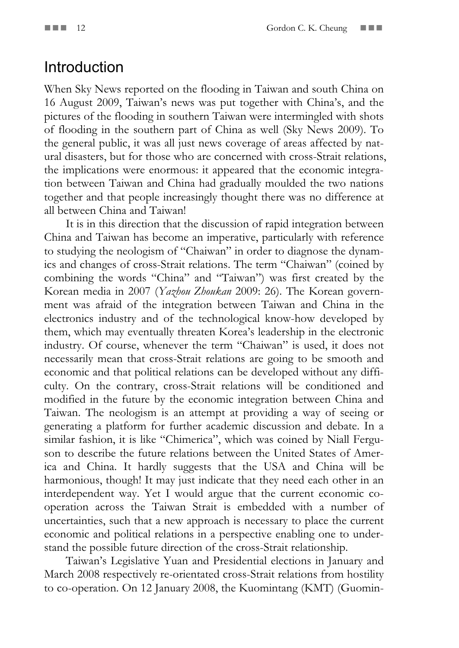## Introduction

When Sky News reported on the flooding in Taiwan and south China on 16 August 2009, Taiwan's news was put together with China's, and the pictures of the flooding in southern Taiwan were intermingled with shots of flooding in the southern part of China as well (Sky News 2009). To the general public, it was all just news coverage of areas affected by natural disasters, but for those who are concerned with cross-Strait relations, the implications were enormous: it appeared that the economic integration between Taiwan and China had gradually moulded the two nations together and that people increasingly thought there was no difference at all between China and Taiwan!

It is in this direction that the discussion of rapid integration between China and Taiwan has become an imperative, particularly with reference to studying the neologism of "Chaiwan" in order to diagnose the dynamics and changes of cross-Strait relations. The term "Chaiwan" (coined by combining the words "China" and "Taiwan") was first created by the Korean media in 2007 (*Yazhou Zhoukan* 2009: 26). The Korean government was afraid of the integration between Taiwan and China in the electronics industry and of the technological know-how developed by them, which may eventually threaten Korea's leadership in the electronic industry. Of course, whenever the term "Chaiwan" is used, it does not necessarily mean that cross-Strait relations are going to be smooth and economic and that political relations can be developed without any difficulty. On the contrary, cross-Strait relations will be conditioned and modified in the future by the economic integration between China and Taiwan. The neologism is an attempt at providing a way of seeing or generating a platform for further academic discussion and debate. In a similar fashion, it is like "Chimerica", which was coined by Niall Ferguson to describe the future relations between the United States of America and China. It hardly suggests that the USA and China will be harmonious, though! It may just indicate that they need each other in an interdependent way. Yet I would argue that the current economic cooperation across the Taiwan Strait is embedded with a number of uncertainties, such that a new approach is necessary to place the current economic and political relations in a perspective enabling one to understand the possible future direction of the cross-Strait relationship.

Taiwan's Legislative Yuan and Presidential elections in January and March 2008 respectively re-orientated cross-Strait relations from hostility to co-operation. On 12 January 2008, the Kuomintang (KMT) (Guomin-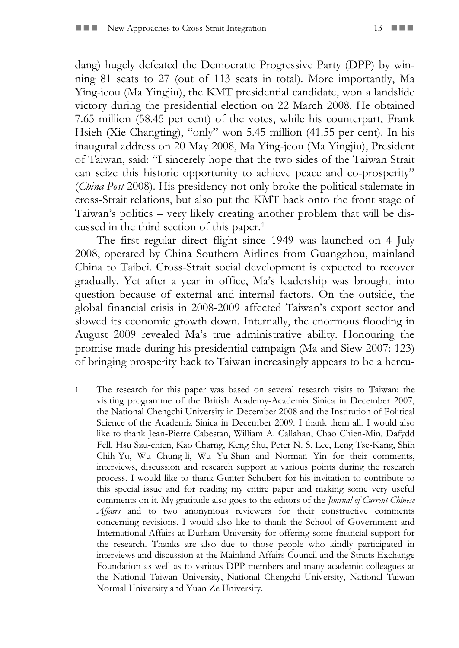$\overline{a}$ 

dang) hugely defeated the Democratic Progressive Party (DPP) by winning 81 seats to 27 (out of 113 seats in total). More importantly, Ma Ying-jeou (Ma Yingjiu), the KMT presidential candidate, won a landslide victory during the presidential election on 22 March 2008. He obtained 7.65 million (58.45 per cent) of the votes, while his counterpart, Frank Hsieh (Xie Changting), "only" won 5.45 million (41.55 per cent). In his inaugural address on 20 May 2008, Ma Ying-jeou (Ma Yingjiu), President of Taiwan, said: "I sincerely hope that the two sides of the Taiwan Strait can seize this historic opportunity to achieve peace and co-prosperity" (*China Post* 2008). His presidency not only broke the political stalemate in cross-Strait relations, but also put the KMT back onto the front stage of Taiwan's politics – very likely creating another problem that will be discussed in the third section of this paper.1

The first regular direct flight since 1949 was launched on 4 July 2008, operated by China Southern Airlines from Guangzhou, mainland China to Taibei. Cross-Strait social development is expected to recover gradually. Yet after a year in office, Ma's leadership was brought into question because of external and internal factors. On the outside, the global financial crisis in 2008-2009 affected Taiwan's export sector and slowed its economic growth down. Internally, the enormous flooding in August 2009 revealed Ma's true administrative ability. Honouring the promise made during his presidential campaign (Ma and Siew 2007: 123) of bringing prosperity back to Taiwan increasingly appears to be a hercu-

<sup>1</sup> The research for this paper was based on several research visits to Taiwan: the visiting programme of the British Academy-Academia Sinica in December 2007, the National Chengchi University in December 2008 and the Institution of Political Science of the Academia Sinica in December 2009. I thank them all. I would also like to thank Jean-Pierre Cabestan, William A. Callahan, Chao Chien-Min, Dafydd Fell, Hsu Szu-chien, Kao Charng, Keng Shu, Peter N. S. Lee, Leng Tse-Kang, Shih Chih-Yu, Wu Chung-li, Wu Yu-Shan and Norman Yin for their comments, interviews, discussion and research support at various points during the research process. I would like to thank Gunter Schubert for his invitation to contribute to this special issue and for reading my entire paper and making some very useful comments on it. My gratitude also goes to the editors of the *Journal of Current Chinese Affairs* and to two anonymous reviewers for their constructive comments concerning revisions. I would also like to thank the School of Government and International Affairs at Durham University for offering some financial support for the research. Thanks are also due to those people who kindly participated in interviews and discussion at the Mainland Affairs Council and the Straits Exchange Foundation as well as to various DPP members and many academic colleagues at the National Taiwan University, National Chengchi University, National Taiwan Normal University and Yuan Ze University.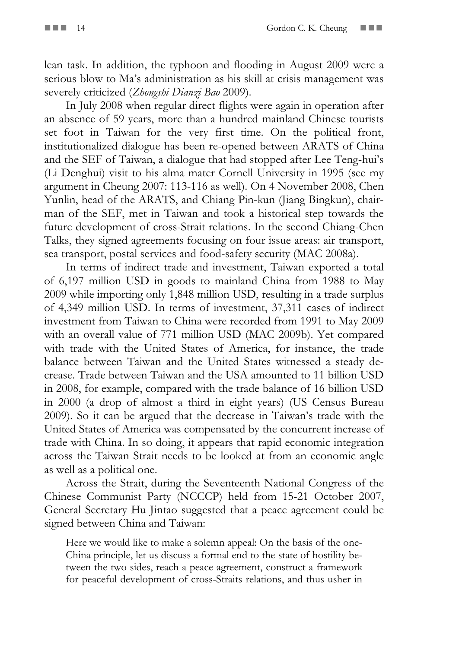lean task. In addition, the typhoon and flooding in August 2009 were a serious blow to Ma's administration as his skill at crisis management was severely criticized (*Zhongshi Dianzi Bao* 2009).

In July 2008 when regular direct flights were again in operation after an absence of 59 years, more than a hundred mainland Chinese tourists set foot in Taiwan for the very first time. On the political front, institutionalized dialogue has been re-opened between ARATS of China and the SEF of Taiwan, a dialogue that had stopped after Lee Teng-hui's (Li Denghui) visit to his alma mater Cornell University in 1995 (see my argument in Cheung 2007: 113-116 as well). On 4 November 2008, Chen Yunlin, head of the ARATS, and Chiang Pin-kun (Jiang Bingkun), chairman of the SEF, met in Taiwan and took a historical step towards the future development of cross-Strait relations. In the second Chiang-Chen Talks, they signed agreements focusing on four issue areas: air transport, sea transport, postal services and food-safety security (MAC 2008a).

In terms of indirect trade and investment, Taiwan exported a total of 6,197 million USD in goods to mainland China from 1988 to May 2009 while importing only 1,848 million USD, resulting in a trade surplus of 4,349 million USD. In terms of investment, 37,311 cases of indirect investment from Taiwan to China were recorded from 1991 to May 2009 with an overall value of 771 million USD (MAC 2009b). Yet compared with trade with the United States of America, for instance, the trade balance between Taiwan and the United States witnessed a steady decrease. Trade between Taiwan and the USA amounted to 11 billion USD in 2008, for example, compared with the trade balance of 16 billion USD in 2000 (a drop of almost a third in eight years) (US Census Bureau 2009). So it can be argued that the decrease in Taiwan's trade with the United States of America was compensated by the concurrent increase of trade with China. In so doing, it appears that rapid economic integration across the Taiwan Strait needs to be looked at from an economic angle as well as a political one.

Across the Strait, during the Seventeenth National Congress of the Chinese Communist Party (NCCCP) held from 15-21 October 2007, General Secretary Hu Jintao suggested that a peace agreement could be signed between China and Taiwan:

Here we would like to make a solemn appeal: On the basis of the one-China principle, let us discuss a formal end to the state of hostility between the two sides, reach a peace agreement, construct a framework for peaceful development of cross-Straits relations, and thus usher in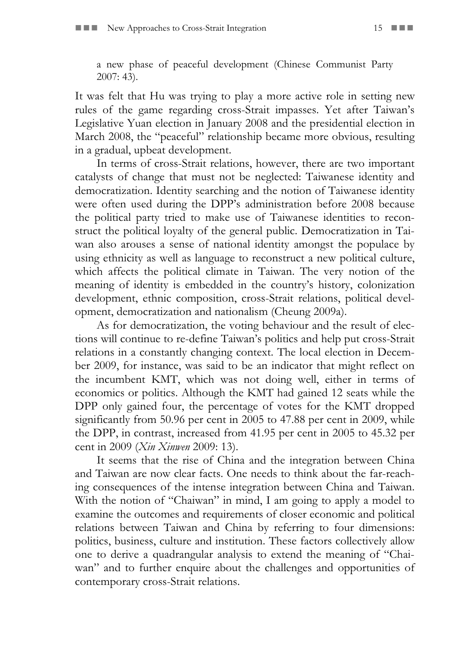a new phase of peaceful development (Chinese Communist Party 2007: 43).

It was felt that Hu was trying to play a more active role in setting new rules of the game regarding cross-Strait impasses. Yet after Taiwan's Legislative Yuan election in January 2008 and the presidential election in March 2008, the "peaceful" relationship became more obvious, resulting in a gradual, upbeat development.

In terms of cross-Strait relations, however, there are two important catalysts of change that must not be neglected: Taiwanese identity and democratization. Identity searching and the notion of Taiwanese identity were often used during the DPP's administration before 2008 because the political party tried to make use of Taiwanese identities to reconstruct the political loyalty of the general public. Democratization in Taiwan also arouses a sense of national identity amongst the populace by using ethnicity as well as language to reconstruct a new political culture, which affects the political climate in Taiwan. The very notion of the meaning of identity is embedded in the country's history, colonization development, ethnic composition, cross-Strait relations, political development, democratization and nationalism (Cheung 2009a).

As for democratization, the voting behaviour and the result of elections will continue to re-define Taiwan's politics and help put cross-Strait relations in a constantly changing context. The local election in December 2009, for instance, was said to be an indicator that might reflect on the incumbent KMT, which was not doing well, either in terms of economics or politics. Although the KMT had gained 12 seats while the DPP only gained four, the percentage of votes for the KMT dropped significantly from 50.96 per cent in 2005 to 47.88 per cent in 2009, while the DPP, in contrast, increased from 41.95 per cent in 2005 to 45.32 per cent in 2009 (*Xin Xinwen* 2009: 13).

It seems that the rise of China and the integration between China and Taiwan are now clear facts. One needs to think about the far-reaching consequences of the intense integration between China and Taiwan. With the notion of "Chaiwan" in mind, I am going to apply a model to examine the outcomes and requirements of closer economic and political relations between Taiwan and China by referring to four dimensions: politics, business, culture and institution. These factors collectively allow one to derive a quadrangular analysis to extend the meaning of "Chaiwan" and to further enquire about the challenges and opportunities of contemporary cross-Strait relations.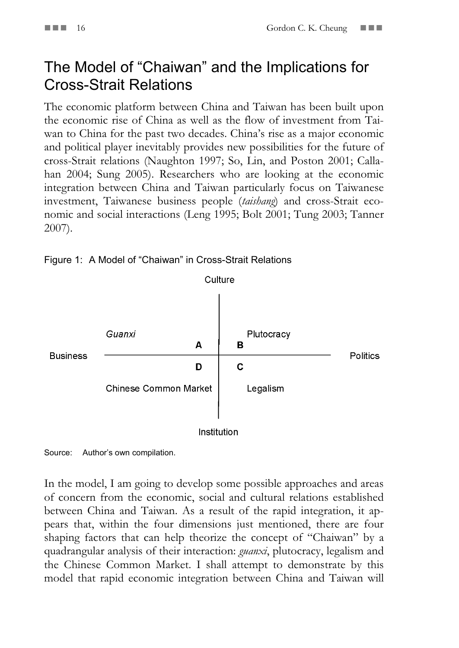# The Model of "Chaiwan" and the Implications for Cross-Strait Relations

The economic platform between China and Taiwan has been built upon the economic rise of China as well as the flow of investment from Taiwan to China for the past two decades. China's rise as a major economic and political player inevitably provides new possibilities for the future of cross-Strait relations (Naughton 1997; So, Lin, and Poston 2001; Callahan 2004; Sung 2005). Researchers who are looking at the economic integration between China and Taiwan particularly focus on Taiwanese investment, Taiwanese business people (*taishang*) and cross-Strait economic and social interactions (Leng 1995; Bolt 2001; Tung 2003; Tanner 2007).





Source: Author's own compilation.

In the model, I am going to develop some possible approaches and areas of concern from the economic, social and cultural relations established between China and Taiwan. As a result of the rapid integration, it appears that, within the four dimensions just mentioned, there are four shaping factors that can help theorize the concept of "Chaiwan" by a quadrangular analysis of their interaction: *guanxi*, plutocracy, legalism and the Chinese Common Market. I shall attempt to demonstrate by this model that rapid economic integration between China and Taiwan will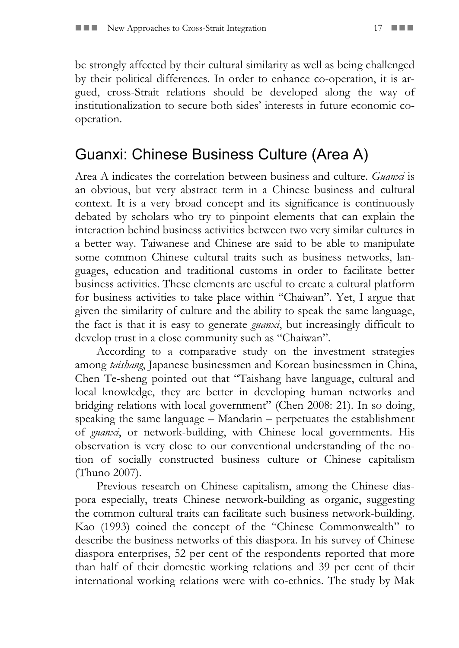be strongly affected by their cultural similarity as well as being challenged by their political differences. In order to enhance co-operation, it is argued, cross-Strait relations should be developed along the way of institutionalization to secure both sides' interests in future economic cooperation.

# Guanxi: Chinese Business Culture (Area A)

Area A indicates the correlation between business and culture. *Guanxi* is an obvious, but very abstract term in a Chinese business and cultural context. It is a very broad concept and its significance is continuously debated by scholars who try to pinpoint elements that can explain the interaction behind business activities between two very similar cultures in a better way. Taiwanese and Chinese are said to be able to manipulate some common Chinese cultural traits such as business networks, languages, education and traditional customs in order to facilitate better business activities. These elements are useful to create a cultural platform for business activities to take place within "Chaiwan". Yet, I argue that given the similarity of culture and the ability to speak the same language, the fact is that it is easy to generate *guanxi*, but increasingly difficult to develop trust in a close community such as "Chaiwan".

According to a comparative study on the investment strategies among *taishang*, Japanese businessmen and Korean businessmen in China, Chen Te-sheng pointed out that "Taishang have language, cultural and local knowledge, they are better in developing human networks and bridging relations with local government" (Chen 2008: 21). In so doing, speaking the same language – Mandarin – perpetuates the establishment of *guanxi*, or network-building, with Chinese local governments. His observation is very close to our conventional understanding of the notion of socially constructed business culture or Chinese capitalism (Thuno 2007).

Previous research on Chinese capitalism, among the Chinese diaspora especially, treats Chinese network-building as organic, suggesting the common cultural traits can facilitate such business network-building. Kao (1993) coined the concept of the "Chinese Commonwealth" to describe the business networks of this diaspora. In his survey of Chinese diaspora enterprises, 52 per cent of the respondents reported that more than half of their domestic working relations and 39 per cent of their international working relations were with co-ethnics. The study by Mak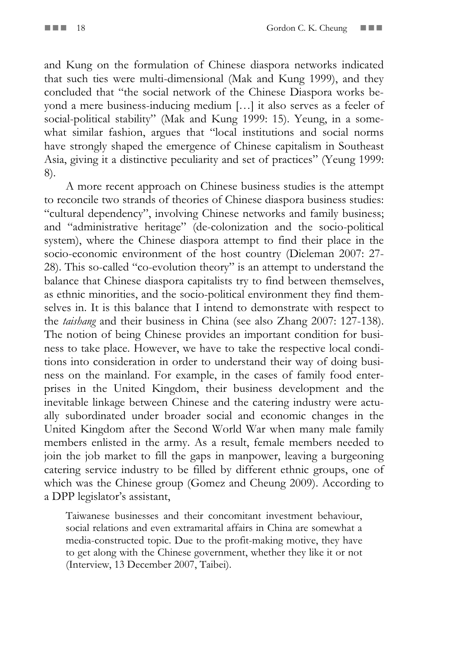and Kung on the formulation of Chinese diaspora networks indicated that such ties were multi-dimensional (Mak and Kung 1999), and they concluded that "the social network of the Chinese Diaspora works beyond a mere business-inducing medium […] it also serves as a feeler of social-political stability" (Mak and Kung 1999: 15). Yeung, in a somewhat similar fashion, argues that "local institutions and social norms have strongly shaped the emergence of Chinese capitalism in Southeast Asia, giving it a distinctive peculiarity and set of practices" (Yeung 1999: 8).

A more recent approach on Chinese business studies is the attempt to reconcile two strands of theories of Chinese diaspora business studies: "cultural dependency", involving Chinese networks and family business; and "administrative heritage" (de-colonization and the socio-political system), where the Chinese diaspora attempt to find their place in the socio-economic environment of the host country (Dieleman 2007: 27- 28). This so-called "co-evolution theory" is an attempt to understand the balance that Chinese diaspora capitalists try to find between themselves, as ethnic minorities, and the socio-political environment they find themselves in. It is this balance that I intend to demonstrate with respect to the *taishang* and their business in China (see also Zhang 2007: 127-138). The notion of being Chinese provides an important condition for business to take place. However, we have to take the respective local conditions into consideration in order to understand their way of doing business on the mainland. For example, in the cases of family food enterprises in the United Kingdom, their business development and the inevitable linkage between Chinese and the catering industry were actually subordinated under broader social and economic changes in the United Kingdom after the Second World War when many male family members enlisted in the army. As a result, female members needed to join the job market to fill the gaps in manpower, leaving a burgeoning catering service industry to be filled by different ethnic groups, one of which was the Chinese group (Gomez and Cheung 2009). According to a DPP legislator's assistant,

Taiwanese businesses and their concomitant investment behaviour, social relations and even extramarital affairs in China are somewhat a media-constructed topic. Due to the profit-making motive, they have to get along with the Chinese government, whether they like it or not (Interview, 13 December 2007, Taibei).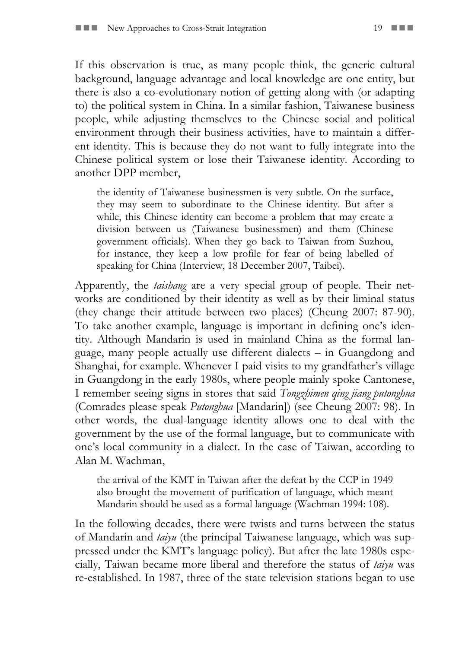--

If this observation is true, as many people think, the generic cultural background, language advantage and local knowledge are one entity, but there is also a co-evolutionary notion of getting along with (or adapting to) the political system in China. In a similar fashion, Taiwanese business people, while adjusting themselves to the Chinese social and political environment through their business activities, have to maintain a different identity. This is because they do not want to fully integrate into the Chinese political system or lose their Taiwanese identity. According to another DPP member,

the identity of Taiwanese businessmen is very subtle. On the surface, they may seem to subordinate to the Chinese identity. But after a while, this Chinese identity can become a problem that may create a division between us (Taiwanese businessmen) and them (Chinese government officials). When they go back to Taiwan from Suzhou, for instance, they keep a low profile for fear of being labelled of speaking for China (Interview, 18 December 2007, Taibei).

Apparently, the *taishang* are a very special group of people. Their networks are conditioned by their identity as well as by their liminal status (they change their attitude between two places) (Cheung 2007: 87-90). To take another example, language is important in defining one's identity. Although Mandarin is used in mainland China as the formal language, many people actually use different dialects – in Guangdong and Shanghai, for example. Whenever I paid visits to my grandfather's village in Guangdong in the early 1980s, where people mainly spoke Cantonese, I remember seeing signs in stores that said *Tongzhimen qing jiang putonghua* (Comrades please speak *Putonghua* [Mandarin]) (see Cheung 2007: 98). In other words, the dual-language identity allows one to deal with the government by the use of the formal language, but to communicate with one's local community in a dialect. In the case of Taiwan, according to Alan M. Wachman,

the arrival of the KMT in Taiwan after the defeat by the CCP in 1949 also brought the movement of purification of language, which meant Mandarin should be used as a formal language (Wachman 1994: 108).

In the following decades, there were twists and turns between the status of Mandarin and *taiyu* (the principal Taiwanese language, which was suppressed under the KMT's language policy). But after the late 1980s especially, Taiwan became more liberal and therefore the status of *taiyu* was re-established. In 1987, three of the state television stations began to use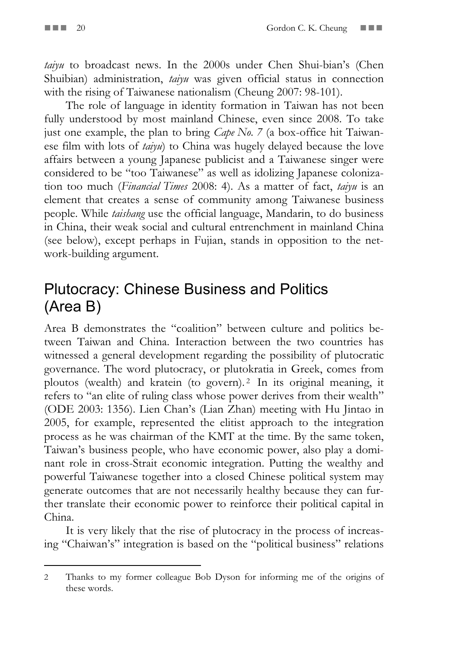$\overline{a}$ 

*taiyu* to broadcast news. In the 2000s under Chen Shui-bian's (Chen Shuibian) administration, *taiyu* was given official status in connection with the rising of Taiwanese nationalism (Cheung 2007: 98-101).

The role of language in identity formation in Taiwan has not been fully understood by most mainland Chinese, even since 2008. To take just one example, the plan to bring *Cape No. 7* (a box-office hit Taiwanese film with lots of *taiyu*) to China was hugely delayed because the love affairs between a young Japanese publicist and a Taiwanese singer were considered to be "too Taiwanese" as well as idolizing Japanese colonization too much (*Financial Times* 2008: 4). As a matter of fact, *taiyu* is an element that creates a sense of community among Taiwanese business people. While *taishang* use the official language, Mandarin, to do business in China, their weak social and cultural entrenchment in mainland China (see below), except perhaps in Fujian, stands in opposition to the network-building argument.

# Plutocracy: Chinese Business and Politics (Area B)

Area B demonstrates the "coalition" between culture and politics between Taiwan and China. Interaction between the two countries has witnessed a general development regarding the possibility of plutocratic governance. The word plutocracy, or plutokratia in Greek, comes from ploutos (wealth) and kratein (to govern).<sup>2</sup> In its original meaning, it refers to "an elite of ruling class whose power derives from their wealth" (ODE 2003: 1356). Lien Chan's (Lian Zhan) meeting with Hu Jintao in 2005, for example, represented the elitist approach to the integration process as he was chairman of the KMT at the time. By the same token, Taiwan's business people, who have economic power, also play a dominant role in cross-Strait economic integration. Putting the wealthy and powerful Taiwanese together into a closed Chinese political system may generate outcomes that are not necessarily healthy because they can further translate their economic power to reinforce their political capital in China.

It is very likely that the rise of plutocracy in the process of increasing "Chaiwan's" integration is based on the "political business" relations

<sup>2</sup> Thanks to my former colleague Bob Dyson for informing me of the origins of these words.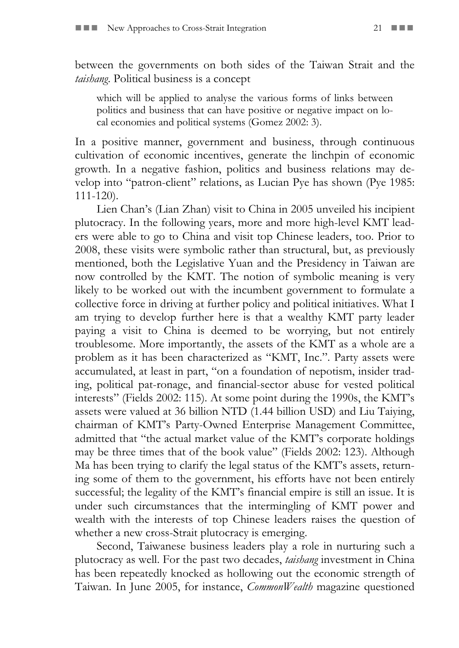between the governments on both sides of the Taiwan Strait and the *taishang*. Political business is a concept

which will be applied to analyse the various forms of links between politics and business that can have positive or negative impact on local economies and political systems (Gomez 2002: 3).

In a positive manner, government and business, through continuous cultivation of economic incentives, generate the linchpin of economic growth. In a negative fashion, politics and business relations may develop into "patron-client" relations, as Lucian Pye has shown (Pye 1985: 111-120).

Lien Chan's (Lian Zhan) visit to China in 2005 unveiled his incipient plutocracy. In the following years, more and more high-level KMT leaders were able to go to China and visit top Chinese leaders, too. Prior to 2008, these visits were symbolic rather than structural, but, as previously mentioned, both the Legislative Yuan and the Presidency in Taiwan are now controlled by the KMT. The notion of symbolic meaning is very likely to be worked out with the incumbent government to formulate a collective force in driving at further policy and political initiatives. What I am trying to develop further here is that a wealthy KMT party leader paying a visit to China is deemed to be worrying, but not entirely troublesome. More importantly, the assets of the KMT as a whole are a problem as it has been characterized as "KMT, Inc.". Party assets were accumulated, at least in part, "on a foundation of nepotism, insider trading, political pat-ronage, and financial-sector abuse for vested political interests" (Fields 2002: 115). At some point during the 1990s, the KMT's assets were valued at 36 billion NTD (1.44 billion USD) and Liu Taiying, chairman of KMT's Party-Owned Enterprise Management Committee, admitted that "the actual market value of the KMT's corporate holdings may be three times that of the book value" (Fields 2002: 123). Although Ma has been trying to clarify the legal status of the KMT's assets, returning some of them to the government, his efforts have not been entirely successful; the legality of the KMT's financial empire is still an issue. It is under such circumstances that the intermingling of KMT power and wealth with the interests of top Chinese leaders raises the question of whether a new cross-Strait plutocracy is emerging.

Second, Taiwanese business leaders play a role in nurturing such a plutocracy as well. For the past two decades, *taishang* investment in China has been repeatedly knocked as hollowing out the economic strength of Taiwan. In June 2005, for instance, *CommonWealth* magazine questioned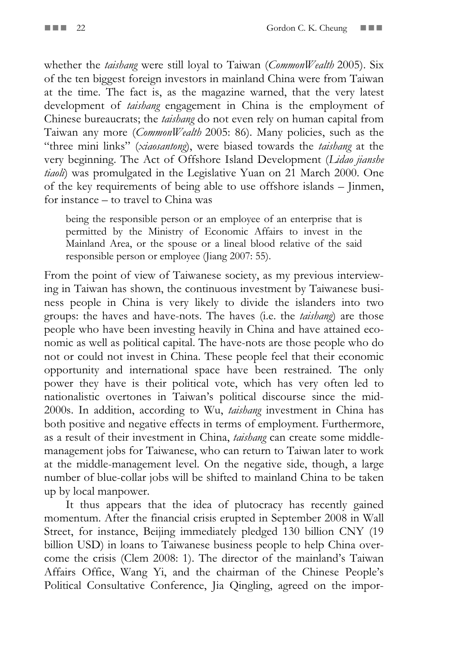whether the *taishang* were still loyal to Taiwan (*CommonWealth* 2005). Six of the ten biggest foreign investors in mainland China were from Taiwan at the time. The fact is, as the magazine warned, that the very latest development of *taishang* engagement in China is the employment of Chinese bureaucrats; the *taishang* do not even rely on human capital from Taiwan any more (*CommonWealth* 2005: 86). Many policies, such as the "three mini links" (*xiaosantong*), were biased towards the *taishang* at the very beginning. The Act of Offshore Island Development (*Lidao jianshe tiaoli*) was promulgated in the Legislative Yuan on 21 March 2000. One of the key requirements of being able to use offshore islands – Jinmen, for instance – to travel to China was

being the responsible person or an employee of an enterprise that is permitted by the Ministry of Economic Affairs to invest in the Mainland Area, or the spouse or a lineal blood relative of the said responsible person or employee (Jiang 2007: 55).

From the point of view of Taiwanese society, as my previous interviewing in Taiwan has shown, the continuous investment by Taiwanese business people in China is very likely to divide the islanders into two groups: the haves and have-nots. The haves (i.e. the *taishang*) are those people who have been investing heavily in China and have attained economic as well as political capital. The have-nots are those people who do not or could not invest in China. These people feel that their economic opportunity and international space have been restrained. The only power they have is their political vote, which has very often led to nationalistic overtones in Taiwan's political discourse since the mid-2000s. In addition, according to Wu, *taishang* investment in China has both positive and negative effects in terms of employment. Furthermore, as a result of their investment in China, *taishang* can create some middlemanagement jobs for Taiwanese, who can return to Taiwan later to work at the middle-management level. On the negative side, though, a large number of blue-collar jobs will be shifted to mainland China to be taken up by local manpower.

It thus appears that the idea of plutocracy has recently gained momentum. After the financial crisis erupted in September 2008 in Wall Street, for instance, Beijing immediately pledged 130 billion CNY (19 billion USD) in loans to Taiwanese business people to help China overcome the crisis (Clem 2008: 1). The director of the mainland's Taiwan Affairs Office, Wang Yi, and the chairman of the Chinese People's Political Consultative Conference, Jia Qingling, agreed on the impor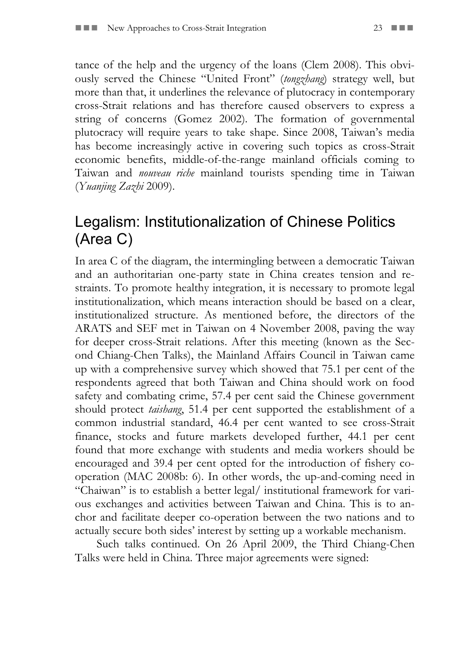tance of the help and the urgency of the loans (Clem 2008). This obviously served the Chinese "United Front" (*tongzhang*) strategy well, but more than that, it underlines the relevance of plutocracy in contemporary cross-Strait relations and has therefore caused observers to express a string of concerns (Gomez 2002). The formation of governmental plutocracy will require years to take shape. Since 2008, Taiwan's media has become increasingly active in covering such topics as cross-Strait economic benefits, middle-of-the-range mainland officials coming to Taiwan and *nouveau riche* mainland tourists spending time in Taiwan (*Yuanjing Zazhi* 2009).

# Legalism: Institutionalization of Chinese Politics (Area C)

In area C of the diagram, the intermingling between a democratic Taiwan and an authoritarian one-party state in China creates tension and restraints. To promote healthy integration, it is necessary to promote legal institutionalization, which means interaction should be based on a clear, institutionalized structure. As mentioned before, the directors of the ARATS and SEF met in Taiwan on 4 November 2008, paving the way for deeper cross-Strait relations. After this meeting (known as the Second Chiang-Chen Talks), the Mainland Affairs Council in Taiwan came up with a comprehensive survey which showed that 75.1 per cent of the respondents agreed that both Taiwan and China should work on food safety and combating crime, 57.4 per cent said the Chinese government should protect *taishang*, 51.4 per cent supported the establishment of a common industrial standard, 46.4 per cent wanted to see cross-Strait finance, stocks and future markets developed further, 44.1 per cent found that more exchange with students and media workers should be encouraged and 39.4 per cent opted for the introduction of fishery cooperation (MAC 2008b: 6). In other words, the up-and-coming need in "Chaiwan" is to establish a better legal/ institutional framework for various exchanges and activities between Taiwan and China. This is to anchor and facilitate deeper co-operation between the two nations and to actually secure both sides' interest by setting up a workable mechanism.

Such talks continued. On 26 April 2009, the Third Chiang-Chen Talks were held in China. Three major agreements were signed: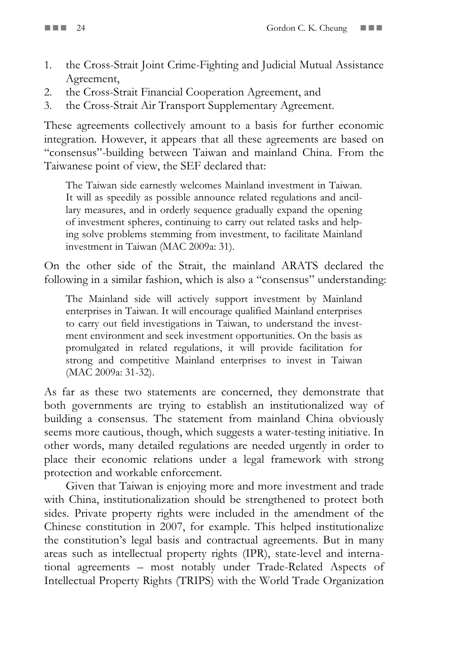- 1. the Cross-Strait Joint Crime-Fighting and Judicial Mutual Assistance Agreement,
- 2. the Cross-Strait Financial Cooperation Agreement, and
- 3. the Cross-Strait Air Transport Supplementary Agreement.

These agreements collectively amount to a basis for further economic integration. However, it appears that all these agreements are based on "consensus"-building between Taiwan and mainland China. From the Taiwanese point of view, the SEF declared that:

The Taiwan side earnestly welcomes Mainland investment in Taiwan. It will as speedily as possible announce related regulations and ancillary measures, and in orderly sequence gradually expand the opening of investment spheres, continuing to carry out related tasks and helping solve problems stemming from investment, to facilitate Mainland investment in Taiwan (MAC 2009a: 31).

On the other side of the Strait, the mainland ARATS declared the following in a similar fashion, which is also a "consensus" understanding:

The Mainland side will actively support investment by Mainland enterprises in Taiwan. It will encourage qualified Mainland enterprises to carry out field investigations in Taiwan, to understand the investment environment and seek investment opportunities. On the basis as promulgated in related regulations, it will provide facilitation for strong and competitive Mainland enterprises to invest in Taiwan (MAC 2009a: 31-32).

As far as these two statements are concerned, they demonstrate that both governments are trying to establish an institutionalized way of building a consensus. The statement from mainland China obviously seems more cautious, though, which suggests a water-testing initiative. In other words, many detailed regulations are needed urgently in order to place their economic relations under a legal framework with strong protection and workable enforcement.

Given that Taiwan is enjoying more and more investment and trade with China, institutionalization should be strengthened to protect both sides. Private property rights were included in the amendment of the Chinese constitution in 2007, for example. This helped institutionalize the constitution's legal basis and contractual agreements. But in many areas such as intellectual property rights (IPR), state-level and international agreements – most notably under Trade-Related Aspects of Intellectual Property Rights (TRIPS) with the World Trade Organization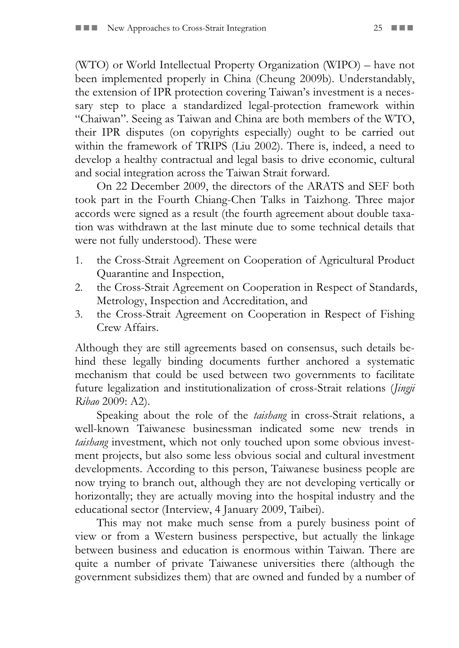(WTO) or World Intellectual Property Organization (WIPO) – have not been implemented properly in China (Cheung 2009b). Understandably, the extension of IPR protection covering Taiwan's investment is a necessary step to place a standardized legal-protection framework within "Chaiwan". Seeing as Taiwan and China are both members of the WTO, their IPR disputes (on copyrights especially) ought to be carried out within the framework of TRIPS (Liu 2002). There is, indeed, a need to develop a healthy contractual and legal basis to drive economic, cultural and social integration across the Taiwan Strait forward.

On 22 December 2009, the directors of the ARATS and SEF both took part in the Fourth Chiang-Chen Talks in Taizhong. Three major accords were signed as a result (the fourth agreement about double taxation was withdrawn at the last minute due to some technical details that were not fully understood). These were

- 1. the Cross-Strait Agreement on Cooperation of Agricultural Product Quarantine and Inspection,
- 2. the Cross-Strait Agreement on Cooperation in Respect of Standards, Metrology, Inspection and Accreditation, and
- 3. the Cross-Strait Agreement on Cooperation in Respect of Fishing Crew Affairs.

Although they are still agreements based on consensus, such details behind these legally binding documents further anchored a systematic mechanism that could be used between two governments to facilitate future legalization and institutionalization of cross-Strait relations (*Jingji Ribao* 2009: A2).

Speaking about the role of the *taishang* in cross-Strait relations, a well-known Taiwanese businessman indicated some new trends in *taishang* investment, which not only touched upon some obvious investment projects, but also some less obvious social and cultural investment developments. According to this person, Taiwanese business people are now trying to branch out, although they are not developing vertically or horizontally; they are actually moving into the hospital industry and the educational sector (Interview, 4 January 2009, Taibei).

This may not make much sense from a purely business point of view or from a Western business perspective, but actually the linkage between business and education is enormous within Taiwan. There are quite a number of private Taiwanese universities there (although the government subsidizes them) that are owned and funded by a number of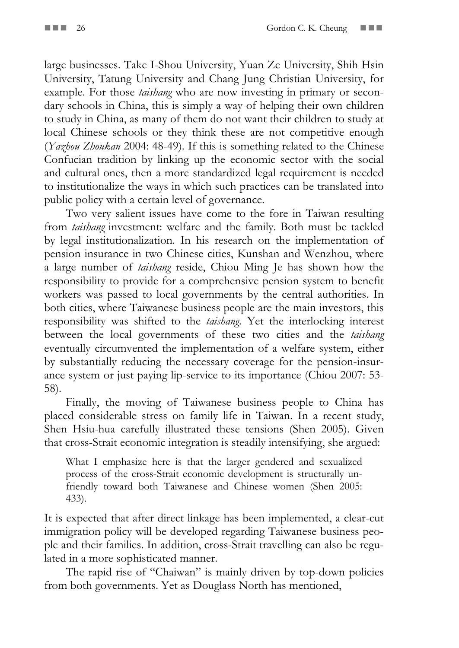large businesses. Take I-Shou University, Yuan Ze University, Shih Hsin University, Tatung University and Chang Jung Christian University, for example. For those *taishang* who are now investing in primary or secondary schools in China, this is simply a way of helping their own children to study in China, as many of them do not want their children to study at local Chinese schools or they think these are not competitive enough (*Yazhou Zhoukan* 2004: 48-49). If this is something related to the Chinese Confucian tradition by linking up the economic sector with the social and cultural ones, then a more standardized legal requirement is needed to institutionalize the ways in which such practices can be translated into public policy with a certain level of governance.

Two very salient issues have come to the fore in Taiwan resulting from *taishang* investment: welfare and the family. Both must be tackled by legal institutionalization. In his research on the implementation of pension insurance in two Chinese cities, Kunshan and Wenzhou, where a large number of *taishang* reside, Chiou Ming Je has shown how the responsibility to provide for a comprehensive pension system to benefit workers was passed to local governments by the central authorities. In both cities, where Taiwanese business people are the main investors, this responsibility was shifted to the *taishang.* Yet the interlocking interest between the local governments of these two cities and the *taishang* eventually circumvented the implementation of a welfare system, either by substantially reducing the necessary coverage for the pension-insurance system or just paying lip-service to its importance (Chiou 2007: 53- 58).

Finally, the moving of Taiwanese business people to China has placed considerable stress on family life in Taiwan. In a recent study, Shen Hsiu-hua carefully illustrated these tensions (Shen 2005). Given that cross-Strait economic integration is steadily intensifying, she argued:

What I emphasize here is that the larger gendered and sexualized process of the cross-Strait economic development is structurally unfriendly toward both Taiwanese and Chinese women (Shen 2005: 433).

It is expected that after direct linkage has been implemented, a clear-cut immigration policy will be developed regarding Taiwanese business people and their families. In addition, cross-Strait travelling can also be regulated in a more sophisticated manner.

The rapid rise of "Chaiwan" is mainly driven by top-down policies from both governments. Yet as Douglass North has mentioned,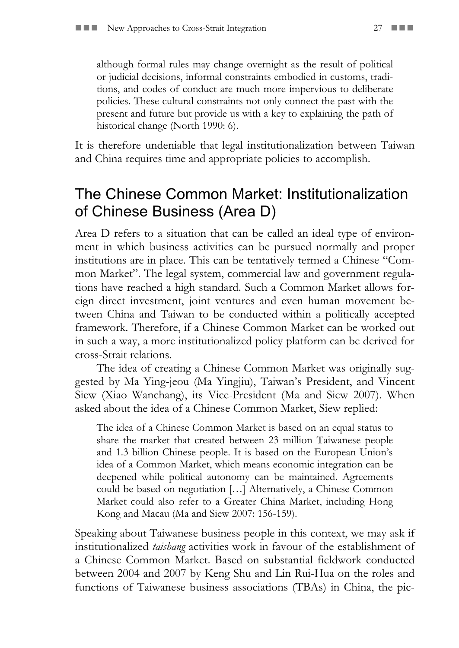--

although formal rules may change overnight as the result of political or judicial decisions, informal constraints embodied in customs, traditions, and codes of conduct are much more impervious to deliberate policies. These cultural constraints not only connect the past with the present and future but provide us with a key to explaining the path of historical change (North 1990: 6).

It is therefore undeniable that legal institutionalization between Taiwan and China requires time and appropriate policies to accomplish.

# The Chinese Common Market: Institutionalization of Chinese Business (Area D)

Area D refers to a situation that can be called an ideal type of environment in which business activities can be pursued normally and proper institutions are in place. This can be tentatively termed a Chinese "Common Market". The legal system, commercial law and government regulations have reached a high standard. Such a Common Market allows foreign direct investment, joint ventures and even human movement between China and Taiwan to be conducted within a politically accepted framework. Therefore, if a Chinese Common Market can be worked out in such a way, a more institutionalized policy platform can be derived for cross-Strait relations.

The idea of creating a Chinese Common Market was originally suggested by Ma Ying-jeou (Ma Yingjiu), Taiwan's President, and Vincent Siew (Xiao Wanchang), its Vice-President (Ma and Siew 2007). When asked about the idea of a Chinese Common Market, Siew replied:

The idea of a Chinese Common Market is based on an equal status to share the market that created between 23 million Taiwanese people and 1.3 billion Chinese people. It is based on the European Union's idea of a Common Market, which means economic integration can be deepened while political autonomy can be maintained. Agreements could be based on negotiation […] Alternatively, a Chinese Common Market could also refer to a Greater China Market, including Hong Kong and Macau (Ma and Siew 2007: 156-159).

Speaking about Taiwanese business people in this context, we may ask if institutionalized *taishang* activities work in favour of the establishment of a Chinese Common Market. Based on substantial fieldwork conducted between 2004 and 2007 by Keng Shu and Lin Rui-Hua on the roles and functions of Taiwanese business associations (TBAs) in China, the pic-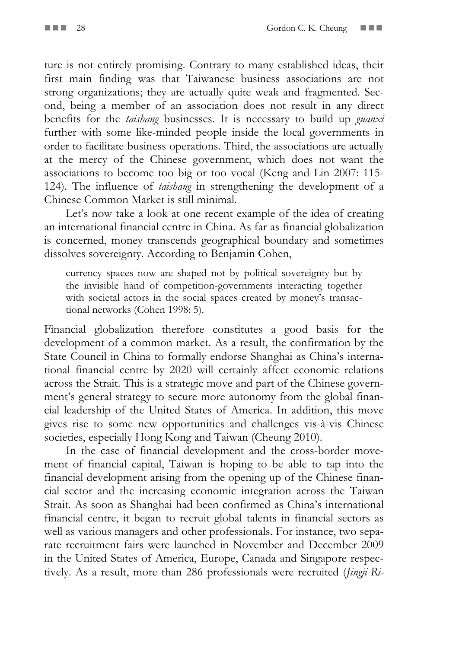ture is not entirely promising. Contrary to many established ideas, their first main finding was that Taiwanese business associations are not strong organizations; they are actually quite weak and fragmented. Second, being a member of an association does not result in any direct benefits for the *taishang* businesses. It is necessary to build up *guanxi* further with some like-minded people inside the local governments in order to facilitate business operations. Third, the associations are actually at the mercy of the Chinese government, which does not want the associations to become too big or too vocal (Keng and Lin 2007: 115- 124). The influence of *taishang* in strengthening the development of a Chinese Common Market is still minimal.

Let's now take a look at one recent example of the idea of creating an international financial centre in China. As far as financial globalization is concerned, money transcends geographical boundary and sometimes dissolves sovereignty. According to Benjamin Cohen,

currency spaces now are shaped not by political sovereignty but by the invisible hand of competition-governments interacting together with societal actors in the social spaces created by money's transactional networks (Cohen 1998: 5).

Financial globalization therefore constitutes a good basis for the development of a common market. As a result, the confirmation by the State Council in China to formally endorse Shanghai as China's international financial centre by 2020 will certainly affect economic relations across the Strait. This is a strategic move and part of the Chinese government's general strategy to secure more autonomy from the global financial leadership of the United States of America. In addition, this move gives rise to some new opportunities and challenges vis-à-vis Chinese societies, especially Hong Kong and Taiwan (Cheung 2010).

In the case of financial development and the cross-border movement of financial capital, Taiwan is hoping to be able to tap into the financial development arising from the opening up of the Chinese financial sector and the increasing economic integration across the Taiwan Strait. As soon as Shanghai had been confirmed as China's international financial centre, it began to recruit global talents in financial sectors as well as various managers and other professionals. For instance, two separate recruitment fairs were launched in November and December 2009 in the United States of America, Europe, Canada and Singapore respectively. As a result, more than 286 professionals were recruited (*Jingji Ri-*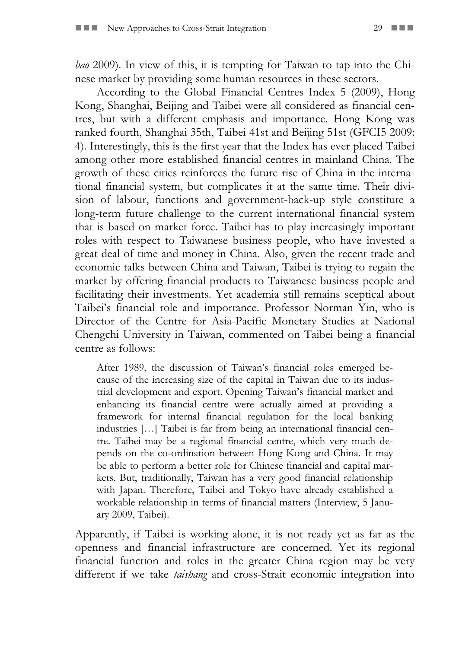*bao* 2009). In view of this, it is tempting for Taiwan to tap into the Chinese market by providing some human resources in these sectors.

According to the Global Financial Centres Index 5 (2009), Hong Kong, Shanghai, Beijing and Taibei were all considered as financial centres, but with a different emphasis and importance. Hong Kong was ranked fourth, Shanghai 35th, Taibei 41st and Beijing 51st (GFCI5 2009: 4). Interestingly, this is the first year that the Index has ever placed Taibei among other more established financial centres in mainland China. The growth of these cities reinforces the future rise of China in the international financial system, but complicates it at the same time. Their division of labour, functions and government-back-up style constitute a long-term future challenge to the current international financial system that is based on market force. Taibei has to play increasingly important roles with respect to Taiwanese business people, who have invested a great deal of time and money in China. Also, given the recent trade and economic talks between China and Taiwan, Taibei is trying to regain the market by offering financial products to Taiwanese business people and facilitating their investments. Yet academia still remains sceptical about Taibei's financial role and importance. Professor Norman Yin, who is Director of the Centre for Asia-Pacific Monetary Studies at National Chengchi University in Taiwan, commented on Taibei being a financial centre as follows:

After 1989, the discussion of Taiwan's financial roles emerged because of the increasing size of the capital in Taiwan due to its industrial development and export. Opening Taiwan's financial market and enhancing its financial centre were actually aimed at providing a framework for internal financial regulation for the local banking industries […] Taibei is far from being an international financial centre. Taibei may be a regional financial centre, which very much depends on the co-ordination between Hong Kong and China. It may be able to perform a better role for Chinese financial and capital markets. But, traditionally, Taiwan has a very good financial relationship with Japan. Therefore, Taibei and Tokyo have already established a workable relationship in terms of financial matters (Interview, 5 January 2009, Taibei).

Apparently, if Taibei is working alone, it is not ready yet as far as the openness and financial infrastructure are concerned. Yet its regional financial function and roles in the greater China region may be very different if we take *taishang* and cross-Strait economic integration into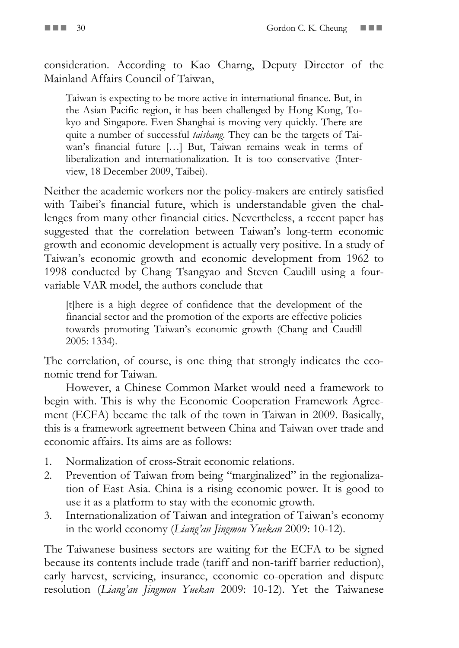consideration. According to Kao Charng, Deputy Director of the Mainland Affairs Council of Taiwan,

Taiwan is expecting to be more active in international finance. But, in the Asian Pacific region, it has been challenged by Hong Kong, Tokyo and Singapore. Even Shanghai is moving very quickly. There are quite a number of successful *taishang*. They can be the targets of Taiwan's financial future […] But, Taiwan remains weak in terms of liberalization and internationalization. It is too conservative (Interview, 18 December 2009, Taibei).

Neither the academic workers nor the policy-makers are entirely satisfied with Taibei's financial future, which is understandable given the challenges from many other financial cities. Nevertheless, a recent paper has suggested that the correlation between Taiwan's long-term economic growth and economic development is actually very positive. In a study of Taiwan's economic growth and economic development from 1962 to 1998 conducted by Chang Tsangyao and Steven Caudill using a fourvariable VAR model, the authors conclude that

[t]here is a high degree of confidence that the development of the financial sector and the promotion of the exports are effective policies towards promoting Taiwan's economic growth (Chang and Caudill 2005: 1334).

The correlation, of course, is one thing that strongly indicates the economic trend for Taiwan.

However, a Chinese Common Market would need a framework to begin with. This is why the Economic Cooperation Framework Agreement (ECFA) became the talk of the town in Taiwan in 2009. Basically, this is a framework agreement between China and Taiwan over trade and economic affairs. Its aims are as follows:

- 1. Normalization of cross-Strait economic relations.
- 2. Prevention of Taiwan from being "marginalized" in the regionalization of East Asia. China is a rising economic power. It is good to use it as a platform to stay with the economic growth.
- 3. Internationalization of Taiwan and integration of Taiwan's economy in the world economy (*Liang'an Jingmou Yuekan* 2009: 10-12).

The Taiwanese business sectors are waiting for the ECFA to be signed because its contents include trade (tariff and non-tariff barrier reduction), early harvest, servicing, insurance, economic co-operation and dispute resolution (*Liang'an Jingmou Yuekan* 2009: 10-12). Yet the Taiwanese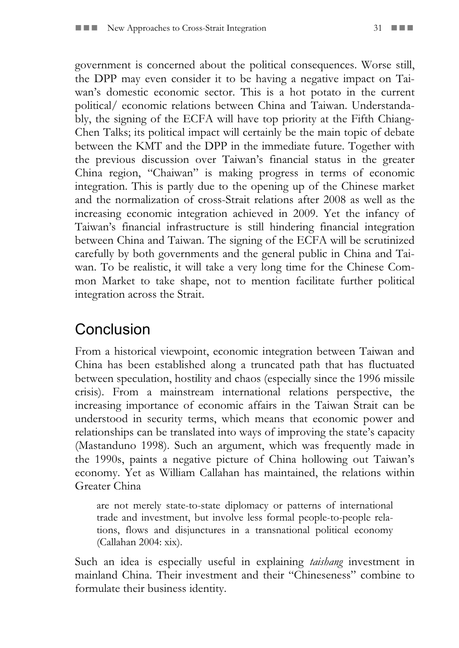government is concerned about the political consequences. Worse still, the DPP may even consider it to be having a negative impact on Taiwan's domestic economic sector. This is a hot potato in the current political/ economic relations between China and Taiwan. Understandably, the signing of the ECFA will have top priority at the Fifth Chiang-Chen Talks; its political impact will certainly be the main topic of debate between the KMT and the DPP in the immediate future. Together with the previous discussion over Taiwan's financial status in the greater China region, "Chaiwan" is making progress in terms of economic integration. This is partly due to the opening up of the Chinese market and the normalization of cross-Strait relations after 2008 as well as the increasing economic integration achieved in 2009. Yet the infancy of Taiwan's financial infrastructure is still hindering financial integration between China and Taiwan. The signing of the ECFA will be scrutinized carefully by both governments and the general public in China and Taiwan. To be realistic, it will take a very long time for the Chinese Common Market to take shape, not to mention facilitate further political integration across the Strait.

# Conclusion

From a historical viewpoint, economic integration between Taiwan and China has been established along a truncated path that has fluctuated between speculation, hostility and chaos (especially since the 1996 missile crisis). From a mainstream international relations perspective, the increasing importance of economic affairs in the Taiwan Strait can be understood in security terms, which means that economic power and relationships can be translated into ways of improving the state's capacity (Mastanduno 1998). Such an argument, which was frequently made in the 1990s, paints a negative picture of China hollowing out Taiwan's economy. Yet as William Callahan has maintained, the relations within Greater China

are not merely state-to-state diplomacy or patterns of international trade and investment, but involve less formal people-to-people relations, flows and disjunctures in a transnational political economy (Callahan 2004: xix).

Such an idea is especially useful in explaining *taishang* investment in mainland China. Their investment and their "Chineseness" combine to formulate their business identity.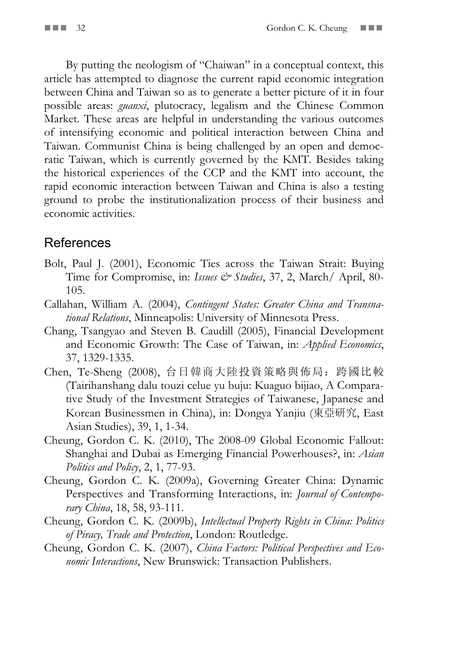By putting the neologism of "Chaiwan" in a conceptual context, this article has attempted to diagnose the current rapid economic integration between China and Taiwan so as to generate a better picture of it in four possible areas: *guanxi*, plutocracy, legalism and the Chinese Common Market. These areas are helpful in understanding the various outcomes of intensifying economic and political interaction between China and Taiwan. Communist China is being challenged by an open and democratic Taiwan, which is currently governed by the KMT. Besides taking the historical experiences of the CCP and the KMT into account, the rapid economic interaction between Taiwan and China is also a testing ground to probe the institutionalization process of their business and economic activities.

#### References

- Bolt, Paul J. (2001), Economic Ties across the Taiwan Strait: Buying Time for Compromise, in: *Issues & Studies*, 37, 2, March/ April, 80-105.
- Callahan, William A. (2004), *Contingent States: Greater China and Transnational Relations*, Minneapolis: University of Minnesota Press.
- Chang, Tsangyao and Steven B. Caudill (2005), Financial Development and Economic Growth: The Case of Taiwan, in: *Applied Economics*, 37, 1329-1335.
- Chen, Te-Sheng (2008), 台日韓商大陸投資策略與佈局: 跨國比較 (Tairihanshang dalu touzi celue yu buju: Kuaguo bijiao, A Comparative Study of the Investment Strategies of Taiwanese, Japanese and Korean Businessmen in China), in: Dongya Yanjiu (東亞研究, East Asian Studies), 39, 1, 1-34.
- Cheung, Gordon C. K. (2010), The 2008-09 Global Economic Fallout: Shanghai and Dubai as Emerging Financial Powerhouses?, in: *Asian Politics and Policy*, 2, 1, 77-93.
- Cheung, Gordon C. K. (2009a), Governing Greater China: Dynamic Perspectives and Transforming Interactions, in: *Journal of Contemporary China*, 18, 58, 93-111.
- Cheung, Gordon C. K. (2009b), *Intellectual Property Rights in China: Politics of Piracy, Trade and Protection*, London: Routledge.
- Cheung, Gordon C. K. (2007), *China Factors: Political Perspectives and Economic Interactions*, New Brunswick: Transaction Publishers.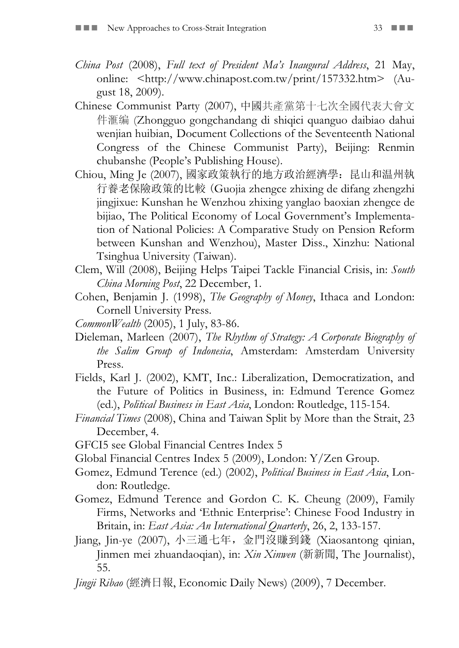- *China Post* (2008), *Full text of President Ma's Inaugural Address*, 21 May, online: <http://www.chinapost.com.tw/print/157332.htm> (August 18, 2009).
- Chinese Communist Party (2007), 中國共產黨第十七次全國代表大會文 件滙编 (Zhongguo gongchandang di shiqici quanguo daibiao dahui wenjian huibian, Document Collections of the Seventeenth National Congress of the Chinese Communist Party), Beijing: Renmin chubanshe (People's Publishing House).
- Chiou, Ming Je (2007), 國家政策執行的地方政治經濟學: 昆山和温州執 行養老保險政策的比較 (Guojia zhengce zhixing de difang zhengzhi jingjixue: Kunshan he Wenzhou zhixing yanglao baoxian zhengce de bijiao, The Political Economy of Local Government's Implementation of National Policies: A Comparative Study on Pension Reform between Kunshan and Wenzhou), Master Diss., Xinzhu: National Tsinghua University (Taiwan).
- Clem, Will (2008), Beijing Helps Taipei Tackle Financial Crisis, in: *South China Morning Post*, 22 December, 1.
- Cohen, Benjamin J. (1998), *The Geography of Money*, Ithaca and London: Cornell University Press.
- *CommonWealth* (2005), 1 July, 83-86.
- Dieleman, Marleen (2007), *The Rhythm of Strategy: A Corporate Biography of the Salim Group of Indonesia*, Amsterdam: Amsterdam University Press.
- Fields, Karl J. (2002), KMT, Inc.: Liberalization, Democratization, and the Future of Politics in Business, in: Edmund Terence Gomez (ed.), *Political Business in East Asia*, London: Routledge, 115-154.
- *Financial Times* (2008), China and Taiwan Split by More than the Strait, 23 December, 4.
- GFCI5 see Global Financial Centres Index 5
- Global Financial Centres Index 5 (2009), London: Y/Zen Group.
- Gomez, Edmund Terence (ed.) (2002), *Political Business in East Asia*, London: Routledge.
- Gomez, Edmund Terence and Gordon C. K. Cheung (2009), Family Firms, Networks and 'Ethnic Enterprise': Chinese Food Industry in Britain, in: *East Asia: An International Quarterly*, 26, 2, 133-157.
- Jiang, Jin-ye (2007), 小三通七年, 金門沒賺到錢 (Xiaosantong qinian, Jinmen mei zhuandaoqian), in: *Xin Xinwen* (新新聞, The Journalist), 55.
- Jingji Ribao (經濟日報, Economic Daily News) (2009), 7 December.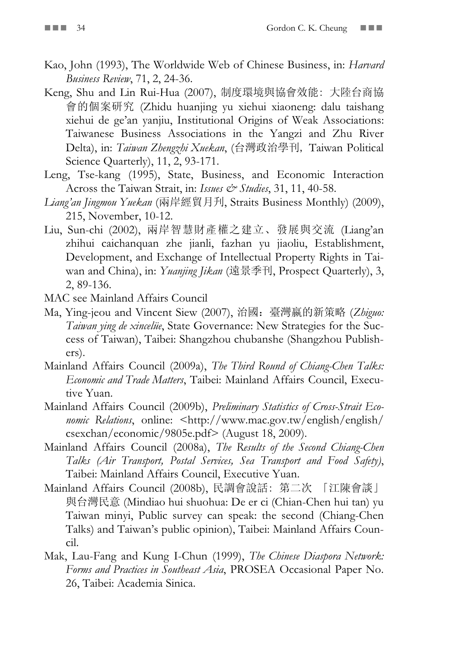- Kao, John (1993), The Worldwide Web of Chinese Business, in: *Harvard Business Review*, 71, 2, 24-36.
- Keng, Shu and Lin Rui-Hua (2007), 制度環境與協會效能: 大陸台商協 會的個案研究 (Zhidu huanjing yu xiehui xiaoneng: dalu taishang xiehui de ge'an yanjiu, Institutional Origins of Weak Associations: Taiwanese Business Associations in the Yangzi and Zhu River Delta), in: *Taiwan Zhengzhi Xuekan*, (台灣政治學刊, Taiwan Political Science Quarterly), 11, 2, 93-171.
- Leng, Tse-kang (1995), State, Business, and Economic Interaction Across the Taiwan Strait, in: *Issues & Studies*, 31, 11, 40-58.
- Liang'an *Jingmou Yuekan* (兩岸經貿月刊, Straits Business Monthly) (2009), 215, November, 10-12.
- Liu, Sun-chi (2002), 兩岸智慧財產權之建立、發展與交流 (Liang'an zhihui caichanquan zhe jianli, fazhan yu jiaoliu, Establishment, Development, and Exchange of Intellectual Property Rights in Taiwan and China), in: *Yuanjing [ikan* (遠景季刊, Prospect Quarterly), 3, 2, 89-136.
- MAC see Mainland Affairs Council
- Ma, Ying-jeou and Vincent Siew (2007), 治國: 臺灣嬴的新策略 (Zhiguo: *Taiwan ying de xincelüe*, State Governance: New Strategies for the Success of Taiwan), Taibei: Shangzhou chubanshe (Shangzhou Publishers).
- Mainland Affairs Council (2009a), *The Third Round of Chiang-Chen Talks: Economic and Trade Matters*, Taibei: Mainland Affairs Council, Executive Yuan.
- Mainland Affairs Council (2009b), *Preliminary Statistics of Cross-Strait Economic Relations*, online: <http://www.mac.gov.tw/english/english/ csexchan/economic/9805e.pdf> (August 18, 2009).
- Mainland Affairs Council (2008a), *The Results of the Second Chiang-Chen Talks (Air Transport, Postal Services, Sea Transport and Food Safety)*, Taibei: Mainland Affairs Council, Executive Yuan.
- Mainland Affairs Council (2008b), 民調會說話: 第二次 「江陳會談」 與台灣民意 (Mindiao hui shuohua: De er ci (Chian-Chen hui tan) yu Taiwan minyi, Public survey can speak: the second (Chiang-Chen Talks) and Taiwan's public opinion), Taibei: Mainland Affairs Council.
- Mak, Lau-Fang and Kung I-Chun (1999), *The Chinese Diaspora Network: Forms and Practices in Southeast Asia*, PROSEA Occasional Paper No. 26, Taibei: Academia Sinica.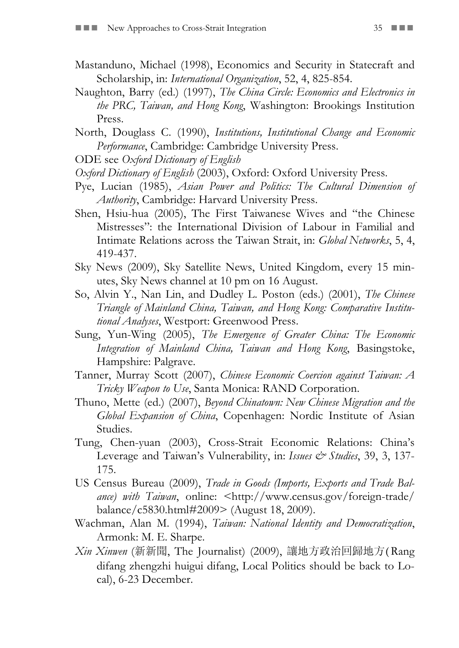- Mastanduno, Michael (1998), Economics and Security in Statecraft and Scholarship, in: *International Organization*, 52, 4, 825-854.
- Naughton, Barry (ed.) (1997), *The China Circle: Economics and Electronics in the PRC, Taiwan, and Hong Kong*, Washington: Brookings Institution Press.
- North, Douglass C. (1990), *Institutions, Institutional Change and Economic Performance*, Cambridge: Cambridge University Press.

ODE see *Oxford Dictionary of English*

- *Oxford Dictionary of English* (2003), Oxford: Oxford University Press.
- Pye, Lucian (1985), *Asian Power and Politics: The Cultural Dimension of Authority*, Cambridge: Harvard University Press.
- Shen, Hsiu-hua (2005), The First Taiwanese Wives and "the Chinese Mistresses": the International Division of Labour in Familial and Intimate Relations across the Taiwan Strait, in: *Global Networks*, 5, 4, 419-437.
- Sky News (2009), Sky Satellite News, United Kingdom, every 15 minutes, Sky News channel at 10 pm on 16 August.
- So, Alvin Y., Nan Lin, and Dudley L. Poston (eds.) (2001), *The Chinese Triangle of Mainland China, Taiwan, and Hong Kong: Comparative Institutional Analyses*, Westport: Greenwood Press.
- Sung, Yun-Wing (2005), *The Emergence of Greater China: The Economic Integration of Mainland China, Taiwan and Hong Kong*, Basingstoke, Hampshire: Palgrave.
- Tanner, Murray Scott (2007), *Chinese Economic Coercion against Taiwan: A Tricky Weapon to Use*, Santa Monica: RAND Corporation.
- Thuno, Mette (ed.) (2007), *Beyond Chinatown: New Chinese Migration and the Global Expansion of China*, Copenhagen: Nordic Institute of Asian Studies.
- Tung, Chen-yuan (2003), Cross-Strait Economic Relations: China's Leverage and Taiwan's Vulnerability, in: Issues & Studies, 39, 3, 137-175.
- US Census Bureau (2009), *Trade in Goods (Imports, Exports and Trade Bal*ance) with Taiwan, online: <http://www.census.gov/foreign-trade/ balance/c5830.html#2009> (August 18, 2009).
- Wachman, Alan M. (1994), *Taiwan: National Identity and Democratization*, Armonk: M. E. Sharpe.
- Xin Xinwen (新新聞, The Journalist) (2009), 讓地方政治回歸地方(Rang difang zhengzhi huigui difang, Local Politics should be back to Local), 6-23 December.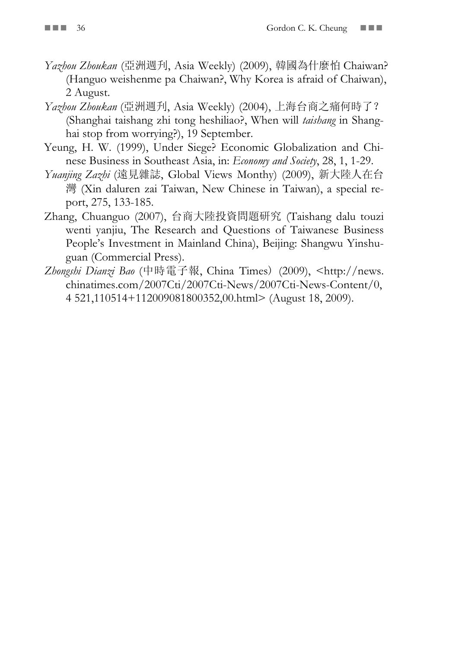- Yazhou Zhoukan (亞洲週刊, Asia Weekly) (2009), 韓國為什麼怕 Chaiwan? (Hanguo weishenme pa Chaiwan?, Why Korea is afraid of Chaiwan), 2 August.
- *Yazhou Zhoukan* (亞洲週刋, Asia Weekly) (2004), 上海台商之痛何時了? (Shanghai taishang zhi tong heshiliao?, When will *taishang* in Shanghai stop from worrying?), 19 September.
- Yeung, H. W. (1999), Under Siege? Economic Globalization and Chinese Business in Southeast Asia, in: *Economy and Society*, 28, 1, 1-29.
- *Yuanjing Zazhi* (遠見雜誌, Global Views Monthy) (2009), 新大陸人在台 灣 (Xin daluren zai Taiwan, New Chinese in Taiwan), a special report, 275, 133-185.
- Zhang, Chuanguo (2007), 台商大陸投資問題研究 (Taishang dalu touzi wenti yanjiu, The Research and Questions of Taiwanese Business People's Investment in Mainland China), Beijing: Shangwu Yinshuguan (Commercial Press).
- Zhongshi Dianzi Bao (中時電子報, China Times) (2009), <http://news. chinatimes.com/2007Cti/2007Cti-News/2007Cti-News-Content/0, 4 521,110514+112009081800352,00.html> (August 18, 2009).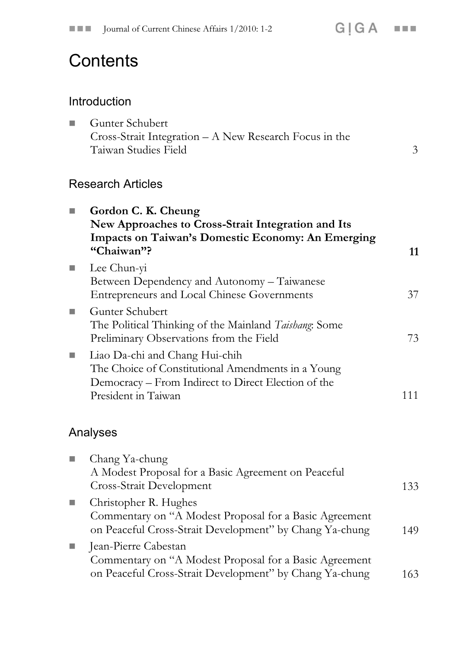--

# **Contents**

#### Introduction

| $\blacksquare$ Gunter Schubert                           |  |
|----------------------------------------------------------|--|
| Cross-Strait Integration $- A$ New Research Focus in the |  |
| Taiwan Studies Field                                     |  |

### Research Articles

| Gordon C. K. Cheung<br>New Approaches to Cross-Strait Integration and Its<br><b>Impacts on Taiwan's Domestic Economy: An Emerging</b><br>"Chaiwan"? | 11 |
|-----------------------------------------------------------------------------------------------------------------------------------------------------|----|
| Lee Chun-yi                                                                                                                                         |    |
| Between Dependency and Autonomy - Taiwanese<br>Entrepreneurs and Local Chinese Governments                                                          | 37 |
| Gunter Schubert<br>The Political Thinking of the Mainland Taishang: Some<br>Preliminary Observations from the Field                                 | 73 |
| Liao Da-chi and Chang Hui-chih<br>The Choice of Constitutional Amendments in a Young<br>Democracy – From Indirect to Direct Election of the         |    |
| President in Taiwan                                                                                                                                 |    |
|                                                                                                                                                     |    |

#### Analyses

| Chang Ya-chung<br>A Modest Proposal for a Basic Agreement on Peaceful<br>Cross-Strait Development                                          | 133 |
|--------------------------------------------------------------------------------------------------------------------------------------------|-----|
| Christopher R. Hughes<br>Commentary on "A Modest Proposal for a Basic Agreement<br>on Peaceful Cross-Strait Development" by Chang Ya-chung | 149 |
| Jean-Pierre Cabestan<br>Commentary on "A Modest Proposal for a Basic Agreement<br>on Peaceful Cross-Strait Development" by Chang Ya-chung  | 163 |